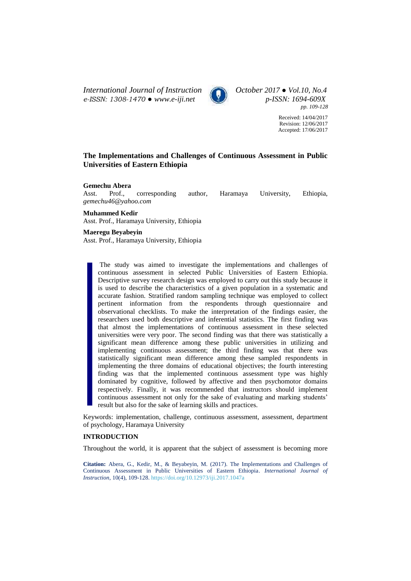*International Journal of Instruction October 2017 ● Vol.10, No.4 e-ISSN: 1308-1470 ● [www.e-iji.net](http://www.e-iji.net/) p-ISSN: 1694-609X*



*pp. 109-128*

Received: 14/04/2017 Revision: 12/06/2017 Accepted: 17/06/2017

# **The Implementations and Challenges of Continuous Assessment in Public Universities of Eastern Ethiopia**

**Gemechu Abera**<br>Asst. Prof.,

Asst. Prof., corresponding author, Haramaya University, Ethiopia, *[gemechu46@yahoo.com](mailto:gemechu46@yahoo.com)*

**Muhammed Kedir** Asst. Prof., Haramaya University, Ethiopia

**Maeregu Beyabeyin** Asst. Prof., Haramaya University, Ethiopia

> The study was aimed to investigate the implementations and challenges of continuous assessment in selected Public Universities of Eastern Ethiopia. Descriptive survey research design was employed to carry out this study because it is used to describe the characteristics of a given population in a systematic and accurate fashion. Stratified random sampling technique was employed to collect pertinent information from the respondents through questionnaire and observational checklists. To make the interpretation of the findings easier, the researchers used both descriptive and inferential statistics. The first finding was that almost the implementations of continuous assessment in these selected universities were very poor. The second finding was that there was statistically a significant mean difference among these public universities in utilizing and implementing continuous assessment; the third finding was that there was statistically significant mean difference among these sampled respondents in implementing the three domains of educational objectives; the fourth interesting finding was that the implemented continuous assessment type was highly dominated by cognitive, followed by affective and then psychomotor domains respectively. Finally, it was recommended that instructors should implement continuous assessment not only for the sake of evaluating and marking students' result but also for the sake of learning skills and practices.

Keywords: implementation, challenge, continuous assessment, assessment, department of psychology, Haramaya University

# **INTRODUCTION**

Throughout the world, it is apparent that the subject of assessment is becoming more

**Citation:** Abera, G., Kedir, M., & Beyabeyin, M. (2017). The Implementations and Challenges of Continuous Assessment in Public Universities of Eastern Ethiopia. *International Journal of Instruction*, 10(4), 109-128. <https://doi.org/10.12973/iji.2017.1047a>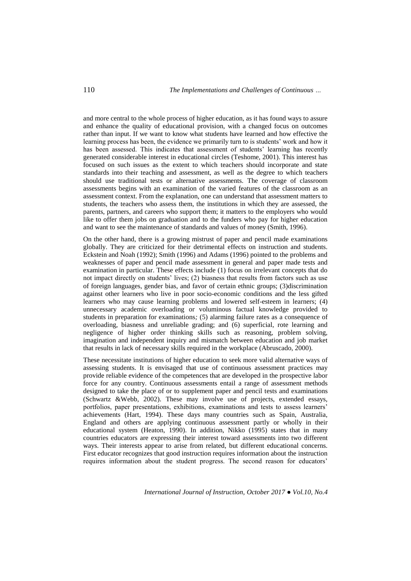and more central to the whole process of higher education, as it has found ways to assure and enhance the quality of educational provision, with a changed focus on outcomes rather than input. If we want to know what students have learned and how effective the learning process has been, the evidence we primarily turn to is students' work and how it has been assessed. This indicates that assessment of students' learning has recently generated considerable interest in educational circles (Teshome, 2001). This interest has focused on such issues as the extent to which teachers should incorporate and state standards into their teaching and assessment, as well as the degree to which teachers should use traditional tests or alternative assessments. The coverage of classroom assessments begins with an examination of the varied features of the classroom as an assessment context. From the explanation, one can understand that assessment matters to students, the teachers who assess them, the institutions in which they are assessed, the parents, partners, and careers who support them; it matters to the employers who would like to offer them jobs on graduation and to the funders who pay for higher education and want to see the maintenance of standards and values of money (Smith, 1996).

On the other hand, there is a growing mistrust of paper and pencil made examinations globally. They are criticized for their detrimental effects on instruction and students. Eckstein and Noah (1992); Smith (1996) and Adams (1996) pointed to the problems and weaknesses of paper and pencil made assessment in general and paper made tests and examination in particular. These effects include (1) focus on irrelevant concepts that do not impact directly on students' lives; (2) biasness that results from factors such as use of foreign languages, gender bias, and favor of certain ethnic groups; (3)discrimination against other learners who live in poor socio-economic conditions and the less gifted learners who may cause learning problems and lowered self-esteem in learners; (4) unnecessary academic overloading or voluminous factual knowledge provided to students in preparation for examinations*;* (5) alarming failure rates as a consequence of overloading, biasness and unreliable grading; and (6) superficial, rote learning and negligence of higher order thinking skills such as reasoning, problem solving, imagination and independent inquiry and mismatch between education and job market that results in lack of necessary skills required in the workplace (Abruscado, 2000).

These necessitate institutions of higher education to seek more valid alternative ways of assessing students. It is envisaged that use of continuous assessment practices may provide reliable evidence of the competences that are developed in the prospective labor force for any country. Continuous assessments entail a range of assessment methods designed to take the place of or to supplement paper and pencil tests and examinations (Schwartz &Webb, 2002). These may involve use of projects, extended essays, portfolios, paper presentations, exhibitions, examinations and tests to assess learners' achievements (Hart, 1994). These days many countries such as Spain, Australia, England and others are applying continuous assessment partly or wholly in their educational system (Heaton, 1990). In addition, Nikko (1995) states that in many countries educators are expressing their interest toward assessments into two different ways. Their interests appear to arise from related, but different educational concerns. First educator recognizes that good instruction requires information about the instruction requires information about the student progress. The second reason for educators'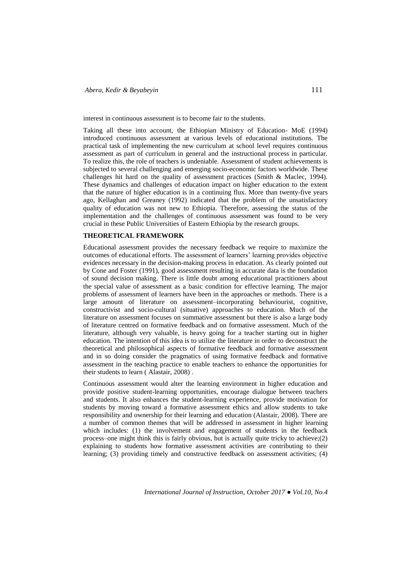interest in continuous assessment is to become fair to the students.

Taking all these into account, the Ethiopian Ministry of Education- MoE (1994) introduced continuous assessment at various levels of educational institutions. The practical task of implementing the new curriculum at school level requires continuous assessment as part of curriculum in general and the instructional process in particular. To realize this, the role of teachers is undeniable. Assessment of student achievements is subjected to several challenging and emerging socio-economic factors worldwide. These challenges hit hard on the quality of assessment practices (Smith & Maclec, 1994). These dynamics and challenges of education impact on higher education to the extent that the nature of higher education is in a continuing flux. More than twenty-five years ago, Kellaghan and Greaney (1992) indicated that the problem of the unsatisfactory quality of education was not new to Ethiopia. Therefore, assessing the status of the implementation and the challenges of continuous assessment was found to be very crucial in these Public Universities of Eastern Ethiopia by the research groups.

## **THEORETICAL FRAMEWORK**

Educational assessment provides the necessary feedback we require to maximize the outcomes of educational efforts. The assessment of learners' learning provides objective evidences necessary in the decision-making process in education. As clearly pointed out by Cone and Foster (1991), good assessment resulting in accurate data is the foundation of sound decision making. There is little doubt among educational practitioners about the special value of assessment as a basic condition for effective learning. The major problems of assessment of learners have been in the approaches or methods. There is a large amount of literature on assessment–incorporating behaviourist, cognitive, constructivist and socio-cultural (situative) approaches to education. Much of the literature on assessment focuses on summative assessment but there is also a large body of literature centred on formative feedback and on formative assessment. Much of the literature, although very valuable, is heavy going for a teacher starting out in higher education. The intention of this idea is to utilize the literature in order to deconstruct the theoretical and philosophical aspects of formative feedback and formative assessment and in so doing consider the pragmatics of using formative feedback and formative assessment in the teaching practice to enable teachers to enhance the opportunities for their students to learn ( Alastair, 2008) .

Continuous assessment would alter the learning environment in higher education and provide positive student-learning opportunities, encourage dialogue between teachers and students. It also enhances the student-learning experience, provide motivation for students by moving toward a formative assessment ethics and allow students to take responsibility and ownership for their learning and education (Alastair, 2008). There are a number of common themes that will be addressed in assessment in higher learning which includes: (1) the involvement and engagement of students in the feedback process–one might think this is fairly obvious, but is actually quite tricky to achieve;(2) explaining to students how formative assessment activities are contributing to their learning; (3) providing timely and constructive feedback on assessment activities; (4)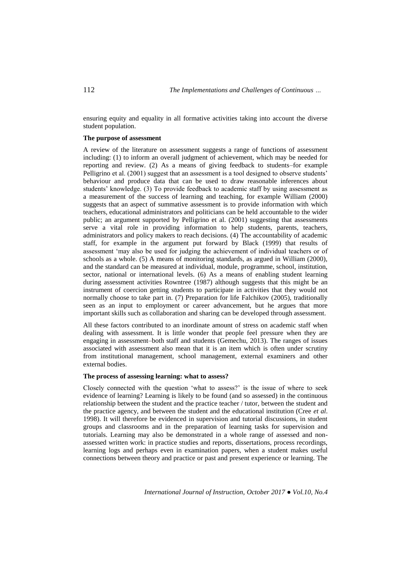ensuring equity and equality in all formative activities taking into account the diverse student population.

## **The purpose of assessment**

A review of the literature on assessment suggests a range of functions of assessment including: (1) to inform an overall judgment of achievement, which may be needed for reporting and review. (2) As a means of giving feedback to students–for example Pelligrino et al. (2001) suggest that an assessment is a tool designed to observe students' behaviour and produce data that can be used to draw reasonable inferences about students' knowledge. (3) To provide feedback to academic staff by using assessment as a measurement of the success of learning and teaching, for example William (2000) suggests that an aspect of summative assessment is to provide information with which teachers, educational administrators and politicians can be held accountable to the wider public; an argument supported by Pelligrino et al. (2001) suggesting that assessments serve a vital role in providing information to help students, parents, teachers, administrators and policy makers to reach decisions. (4) The accountability of academic staff, for example in the argument put forward by Black (1999) that results of assessment 'may also be used for judging the achievement of individual teachers or of schools as a whole. (5) A means of monitoring standards, as argued in William (2000), and the standard can be measured at individual, module, programme, school, institution, sector, national or international levels. (6) As a means of enabling student learning during assessment activities Rowntree (1987) although suggests that this might be an instrument of coercion getting students to participate in activities that they would not normally choose to take part in. (7) Preparation for life Falchikov (2005), traditionally seen as an input to employment or career advancement, but he argues that more important skills such as collaboration and sharing can be developed through assessment.

All these factors contributed to an inordinate amount of stress on academic staff when dealing with assessment. It is little wonder that people feel pressure when they are engaging in assessment–both staff and students (Gemechu, 2013). The ranges of issues associated with assessment also mean that it is an item which is often under scrutiny from institutional management, school management, external examiners and other external bodies.

# **The process of assessing learning: what to assess?**

Closely connected with the question 'what to assess?' is the issue of where to seek evidence of learning? Learning is likely to be found (and so assessed) in the continuous relationship between the student and the practice teacher / tutor, between the student and the practice agency, and between the student and the educational institution (Cree *et al*. 1998). It will therefore be evidenced in supervision and tutorial discussions, in student groups and classrooms and in the preparation of learning tasks for supervision and tutorials. Learning may also be demonstrated in a whole range of assessed and nonassessed written work: in practice studies and reports, dissertations, process recordings, learning logs and perhaps even in examination papers, when a student makes useful connections between theory and practice or past and present experience or learning. The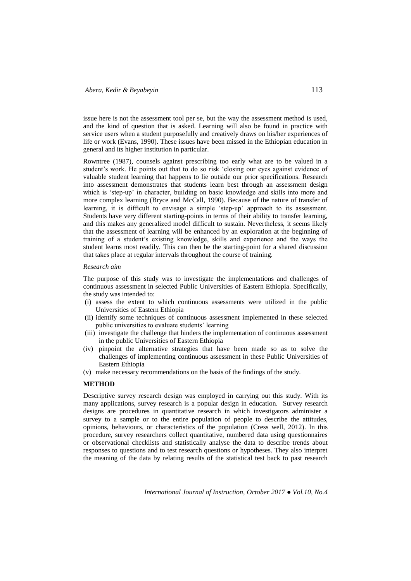issue here is not the assessment tool per se, but the way the assessment method is used, and the kind of question that is asked. Learning will also be found in practice with service users when a student purposefully and creatively draws on his/her experiences of life or work (Evans, 1990). These issues have been missed in the Ethiopian education in general and its higher institution in particular.

Rowntree (1987), counsels against prescribing too early what are to be valued in a student's work. He points out that to do so risk 'closing our eyes against evidence of valuable student learning that happens to lie outside our prior specifications. Research into assessment demonstrates that students learn best through an assessment design which is 'step-up' in character, building on basic knowledge and skills into more and more complex learning (Bryce and McCall, 1990). Because of the nature of transfer of learning, it is difficult to envisage a simple 'step-up' approach to its assessment. Students have very different starting-points in terms of their ability to transfer learning, and this makes any generalized model difficult to sustain. Nevertheless, it seems likely that the assessment of learning will be enhanced by an exploration at the beginning of training of a student's existing knowledge, skills and experience and the ways the student learns most readily. This can then be the starting-point for a shared discussion that takes place at regular intervals throughout the course of training.

#### *Research aim*

The purpose of this study was to investigate the implementations and challenges of continuous assessment in selected Public Universities of Eastern Ethiopia. Specifically, the study was intended to:

- (i) assess the extent to which continuous assessments were utilized in the public Universities of Eastern Ethiopia
- (ii) identify some techniques of continuous assessment implemented in these selected public universities to evaluate students' learning
- (iii) investigate the challenge that hinders the implementation of continuous assessment in the public Universities of Eastern Ethiopia
- (iv) pinpoint the alternative strategies that have been made so as to solve the challenges of implementing continuous assessment in these Public Universities of Eastern Ethiopia
- (v) make necessary recommendations on the basis of the findings of the study.

# **METHOD**

Descriptive survey research design was employed in carrying out this study. With its many applications, survey research is a popular design in education. Survey research designs are procedures in quantitative research in which investigators administer a survey to a sample or to the entire population of people to describe the attitudes, opinions, behaviours, or characteristics of the population (Cress well, 2012). In this procedure, survey researchers collect quantitative, numbered data using questionnaires or observational checklists and statistically analyse the data to describe trends about responses to questions and to test research questions or hypotheses. They also interpret the meaning of the data by relating results of the statistical test back to past research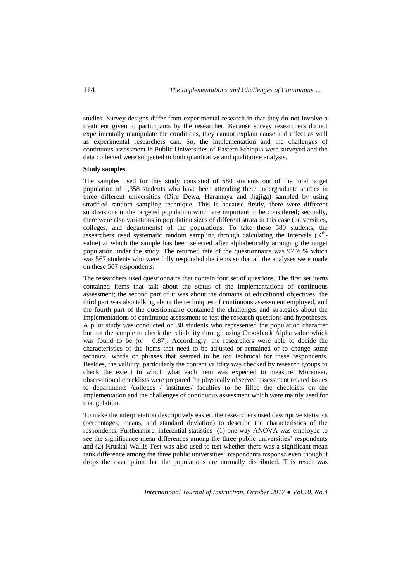studies. Survey designs differ from experimental research in that they do not involve a treatment given to participants by the researcher. Because survey researchers do not experimentally manipulate the conditions, they cannot explain cause and effect as well as experimental researchers can. So, the implementation and the challenges of continuous assessment in Public Universities of Eastern Ethiopia were surveyed and the data collected were subjected to both quantitative and qualitative analysis.

## **Study samples**

The samples used for this study consisted of 580 students out of the total target population of 1,358 students who have been attending their undergraduate studies in three different universities (Dire Dewa, Haramaya and Jigjiga) sampled by using stratified random sampling technique. This is because firstly, there were different subdivisions in the targeted population which are important to be considered; secondly, there were also variations in population sizes of different strata in this case (universities, colleges, and departments) of the populations. To take these 580 students, the researchers used systematic random sampling through calculating the intervals  $(K<sup>th</sup>$ value) at which the sample has been selected after alphabetically arranging the target population under the study. The returned rate of the questionnaire was 97.76% which was 567 students who were fully responded the items so that all the analyses were made on these 567 respondents.

The researchers used questionnaire that contain four set of questions. The first set items contained items that talk about the status of the implementations of continuous assessment; the second part of it was about the domains of educational objectives; the third part was also talking about the techniques of continuous assessment employed, and the fourth part of the questionnaire contained the challenges and strategies about the implementations of continuous assessment to test the research questions and hypotheses. A pilot study was conducted on 30 students who represented the population character but not the sample to check the reliability through using Crookback Alpha value which was found to be ( $\alpha = 0.87$ ). Accordingly, the researchers were able to decide the characteristics of the items that need to be adjusted or remained or to change some technical words or phrases that seemed to be too technical for these respondents. Besides, the validity, particularly the content validity was checked by research groups to check the extent to which what each item was expected to measure. Moreover, observational checklists were prepared for physically observed assessment related issues to departments /colleges / institutes/ faculties to be filled the checklists on the implementation and the challenges of continuous assessment which were mainly used for triangulation.

To make the interpretation descriptively easier, the researchers used descriptive statistics (percentages, means, and standard deviation) to describe the characteristics of the respondents. Furthermore, inferential statistics- (1) one way ANOVA was employed to see the significance mean differences among the three public universities' respondents and (2) Kruskal Wallis Test was also used to test whether there was a significant mean rank difference among the three public universities' respondents response even though it drops the assumption that the populations are normally distributed. This result was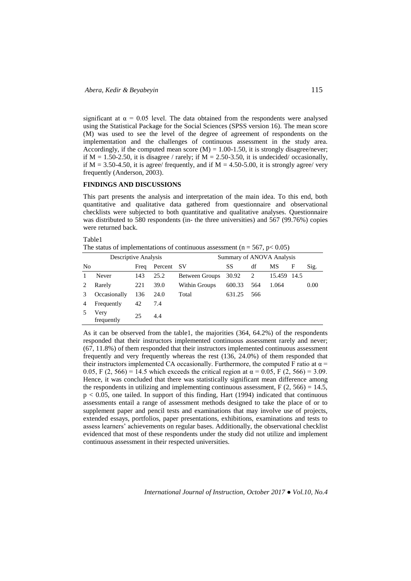significant at  $\alpha = 0.05$  level. The data obtained from the respondents were analysed using the Statistical Package for the Social Sciences (SPSS version 16). The mean score (M) was used to see the level of the degree of agreement of respondents on the implementation and the challenges of continuous assessment in the study area. Accordingly, if the computed mean score  $(M) = 1.00-1.50$ , it is strongly disagree/never; if  $M = 1.50-2.50$ , it is disagree / rarely; if  $M = 2.50-3.50$ , it is undecided/ occasionally, if  $M = 3.50-4.50$ , it is agree/ frequently, and if  $M = 4.50-5.00$ , it is strongly agree/ very frequently (Anderson, 2003).

## **FINDINGS AND DISCUSSIONS**

This part presents the analysis and interpretation of the main idea. To this end, both quantitative and qualitative data gathered from questionnaire and observational checklists were subjected to both quantitative and qualitative analyses. Questionnaire was distributed to 580 respondents (in- the three universities) and 567 (99.76%) copies were returned back.

#### Table1

The status of implementations of continuous assessment ( $n = 567$ ,  $p < 0.05$ )

|                | Descriptive Analysis |      |         | Summary of ANOVA Analysis |        |     |             |   |      |
|----------------|----------------------|------|---------|---------------------------|--------|-----|-------------|---|------|
| N <sub>0</sub> |                      | Freq | Percent | -SV                       | SS     | df  | MS          | F | Sig. |
|                | Never                | 143  | 25.2    | Between Groups            | 30.92  | 2   | 15.459 14.5 |   |      |
|                | Rarely               | 221  | 39.0    | Within Groups             | 600.33 | 564 | 1.064       |   | 0.00 |
|                | Occasionally         | 136  | 24.0    | Total                     | 631.25 | 566 |             |   |      |
| 4              | Frequently           | 42   | 7.4     |                           |        |     |             |   |      |
|                | Very<br>frequently   | 25   | 4.4     |                           |        |     |             |   |      |

As it can be observed from the table1, the majorities (364, 64.2%) of the respondents responded that their instructors implemented continuous assessment rarely and never; (67, 11.8%) of them responded that their instructors implemented continuous assessment frequently and very frequently whereas the rest (136, 24.0%) of them responded that their instructors implemented CA occasionally. Furthermore, the computed F ratio at  $\alpha$  = 0.05, F (2, 566) = 14.5 which exceeds the critical region at  $\alpha$  = 0.05, F (2, 566) = 3.09. Hence, it was concluded that there was statistically significant mean difference among the respondents in utilizing and implementing continuous assessment,  $F(2, 566) = 14.5$ , p < 0.05, one tailed. In support of this finding, Hart (1994) indicated that continuous assessments entail a range of assessment methods designed to take the place of or to supplement paper and pencil tests and examinations that may involve use of projects, extended essays, portfolios, paper presentations, exhibitions, examinations and tests to assess learners' achievements on regular bases. Additionally, the observational checklist evidenced that most of these respondents under the study did not utilize and implement continuous assessment in their respected universities.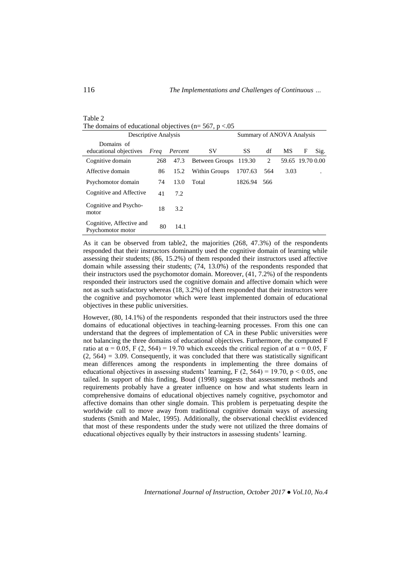# Table 2

# The domains of educational objectives ( $n= 567$ ,  $p < 0.05$ )

| Descriptive Analysis                          |      |         |                | Summary of ANOVA Analysis |     |                  |   |      |
|-----------------------------------------------|------|---------|----------------|---------------------------|-----|------------------|---|------|
| Domains of<br>educational objectives          | Freq | Percent | <b>SV</b>      | SS                        | df  | MS               | F | Sig. |
| Cognitive domain                              | 268  | 47.3    | Between Groups | 119.30                    | 2   | 59.65 19.70 0.00 |   |      |
| Affective domain                              | 86   | 15.2    | Within Groups  | 1707.63                   | 564 | 3.03             |   |      |
| Psychomotor domain                            | 74   | 13.0    | Total          | 1826.94                   | 566 |                  |   |      |
| Cognitive and Affective                       | 41   | 7.2     |                |                           |     |                  |   |      |
| Cognitive and Psycho-<br>motor                | 18   | 3.2     |                |                           |     |                  |   |      |
| Cognitive, Affective and<br>Psychomotor motor | 80   | 14.1    |                |                           |     |                  |   |      |
|                                               |      |         |                |                           |     |                  |   |      |

As it can be observed from table2, the majorities (268, 47.3%) of the respondents responded that their instructors dominantly used the cognitive domain of learning while assessing their students; (86, 15.2%) of them responded their instructors used affective domain while assessing their students; (74, 13.0%) of the respondents responded that their instructors used the psychomotor domain. Moreover, (41, 7.2%) of the respondents responded their instructors used the cognitive domain and affective domain which were not as such satisfactory whereas (18, 3.2%) of them responded that their instructors were the cognitive and psychomotor which were least implemented domain of educational objectives in these public universities.

However, (80, 14.1%) of the respondents responded that their instructors used the three domains of educational objectives in teaching-learning processes. From this one can understand that the degrees of implementation of CA in these Public universities were not balancing the three domains of educational objectives. Furthermore, the computed F ratio at  $\alpha = 0.05$ , F (2, 564) = 19.70 which exceeds the critical region of at  $\alpha = 0.05$ , F  $(2, 564) = 3.09$ . Consequently, it was concluded that there was statistically significant mean differences among the respondents in implementing the three domains of educational objectives in assessing students' learning, F  $(2, 564) = 19.70$ , p < 0.05, one tailed. In support of this finding, Boud (1998) suggests that assessment methods and requirements probably have a greater influence on how and what students learn in comprehensive domains of educational objectives namely cognitive, psychomotor and affective domains than other single domain. This problem is perpetuating despite the worldwide call to move away from traditional cognitive domain ways of assessing students (Smith and Malec, 1995). Additionally, the observational checklist evidenced that most of these respondents under the study were not utilized the three domains of educational objectives equally by their instructors in assessing students' learning.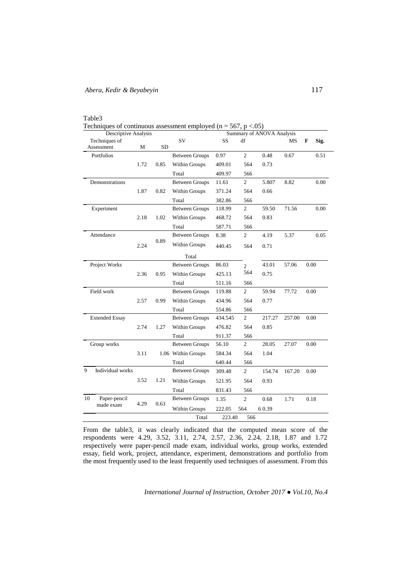Techniques of continuous assessment employed ( $n = 567$ ,  $p < .05$ )

| recurriques of continuous assessment employed (n -<br>$-501, p \sim 0.07$<br><b>Descriptive Analysis</b><br><b>Summary of ANOVA Analysis</b> |                             |      |           |                       |         |                |        |        |      |      |
|----------------------------------------------------------------------------------------------------------------------------------------------|-----------------------------|------|-----------|-----------------------|---------|----------------|--------|--------|------|------|
|                                                                                                                                              | Techniques of<br>Assessment | М    | <b>SD</b> | SV                    | SS      | df             |        | MS     | F    | Sig. |
|                                                                                                                                              | Portfolios                  |      |           | <b>Between Groups</b> | 0.97    | $\mathbf{2}$   | 0.48   | 0.67   |      | 0.51 |
|                                                                                                                                              |                             | 1.72 | 0.85      | Within Groups         | 409.01  | 564            | 0.73   |        |      |      |
|                                                                                                                                              |                             |      |           | Total                 | 409.97  | 566            |        |        |      |      |
|                                                                                                                                              | Demonstrations              |      |           | <b>Between Groups</b> | 11.61   | $\overline{2}$ | 5.807  | 8.82   |      | 0.00 |
|                                                                                                                                              |                             | 1.87 | 0.82      | Within Groups         | 371.24  | 564            | 0.66   |        |      |      |
|                                                                                                                                              |                             |      |           | Total                 | 382.86  | 566            |        |        |      |      |
|                                                                                                                                              | Experiment                  |      |           | <b>Between Groups</b> | 118.99  | $\overline{2}$ | 59.50  | 71.56  |      | 0.00 |
|                                                                                                                                              |                             | 2.18 | 1.02      | Within Groups         | 468.72  | 564            | 0.83   |        |      |      |
|                                                                                                                                              |                             |      |           | Total                 | 587.71  | 566            |        |        |      |      |
|                                                                                                                                              | Attendance                  |      |           | <b>Between Groups</b> | 8.38    | $\overline{2}$ | 4.19   | 5.37   |      | 0.05 |
|                                                                                                                                              |                             | 2.24 | 0.89      | Within Groups         | 440.45  | 564            | 0.71   |        |      |      |
|                                                                                                                                              |                             |      |           | Total                 |         |                |        |        |      |      |
|                                                                                                                                              | Project Works               |      |           | <b>Between Groups</b> | 86.03   | $\overline{c}$ | 43.01  | 57.06  | 0.00 |      |
|                                                                                                                                              |                             | 2.36 | 0.95      | Within Groups         | 425.13  | 564            | 0.75   |        |      |      |
|                                                                                                                                              |                             |      |           | Total                 | 511.16  | 566            |        |        |      |      |
|                                                                                                                                              | Field work                  |      |           | <b>Between Groups</b> | 119.88  | $\overline{2}$ | 59.94  | 77.72  | 0.00 |      |
|                                                                                                                                              |                             | 2.57 | 0.99      | Within Groups         | 434.96  | 564            | 0.77   |        |      |      |
|                                                                                                                                              |                             |      |           | Total                 | 554.86  | 566            |        |        |      |      |
|                                                                                                                                              | <b>Extended Essay</b>       |      |           | <b>Between Groups</b> | 434.545 | $\overline{2}$ | 217.27 | 257.00 | 0.00 |      |
|                                                                                                                                              |                             | 2.74 | 1.27      | Within Groups         | 476.82  | 564            | 0.85   |        |      |      |
|                                                                                                                                              |                             |      |           | Total                 | 911.37  | 566            |        |        |      |      |
|                                                                                                                                              | Group works                 |      |           | <b>Between Groups</b> | 56.10   | $\overline{2}$ | 28.05  | 27.07  | 0.00 |      |
|                                                                                                                                              |                             | 3.11 |           | 1.06 Within Groups    | 584.34  | 564            | 1.04   |        |      |      |
|                                                                                                                                              |                             |      |           | Total                 | 640.44  | 566            |        |        |      |      |
| 9                                                                                                                                            | Individual works            |      |           | <b>Between Groups</b> | 309.48  | 2              | 154.74 | 167.20 | 0.00 |      |
|                                                                                                                                              |                             | 3.52 | 1.21      | Within Groups         | 521.95  | 564            | 0.93   |        |      |      |
|                                                                                                                                              |                             |      |           | Total                 | 831.43  | 566            |        |        |      |      |
| 10                                                                                                                                           | Paper-pencil                |      |           | <b>Between Groups</b> | 1.35    | $\mathfrak{2}$ | 0.68   | 1.71   | 0.18 |      |
|                                                                                                                                              | made exam                   | 4.29 | 0.63      | Within Groups         | 222.05  | 564            | 60.39  |        |      |      |
|                                                                                                                                              |                             |      |           | Total                 | 223.40  | 566            |        |        |      |      |

From the table3, it was clearly indicated that the computed mean score of the respondents were 4.29, 3.52, 3.11, 2.74, 2.57, 2.36, 2.24, 2.18, 1.87 and 1.72 respectively were paper-pencil made exam, individual works, group works, extended essay, field work, project, attendance, experiment, demonstrations and portfolio from the most frequently used to the least frequently used techniques of assessment. From this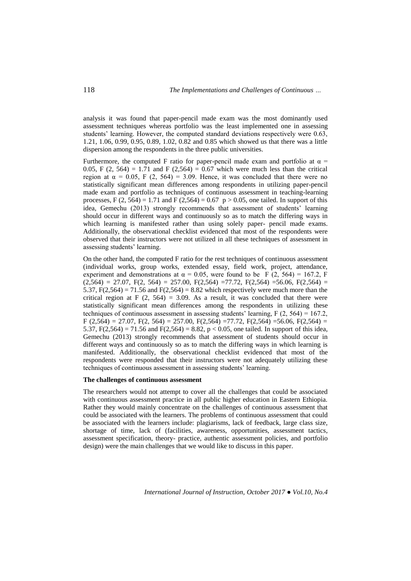analysis it was found that paper-pencil made exam was the most dominantly used assessment techniques whereas portfolio was the least implemented one in assessing students' learning. However, the computed standard deviations respectively were 0.63, 1.21, 1.06, 0.99, 0.95, 0.89, 1.02, 0.82 and 0.85 which showed us that there was a little dispersion among the respondents in the three public universities.

Furthermore, the computed F ratio for paper-pencil made exam and portfolio at  $\alpha$  = 0.05, F (2, 564) = 1.71 and F (2,564) = 0.67 which were much less than the critical region at  $\alpha = 0.05$ , F (2, 564) = 3.09. Hence, it was concluded that there were no statistically significant mean differences among respondents in utilizing paper-pencil made exam and portfolio as techniques of continuous assessment in teaching-learning processes, F (2, 564) = 1.71 and F (2,564) = 0.67  $p > 0.05$ , one tailed. In support of this idea, Gemechu (2013) strongly recommends that assessment of students' learning should occur in different ways and continuously so as to match the differing ways in which learning is manifested rather than using solely paper- pencil made exams. Additionally, the observational checklist evidenced that most of the respondents were observed that their instructors were not utilized in all these techniques of assessment in assessing students' learning.

On the other hand, the computed F ratio for the rest techniques of continuous assessment (individual works, group works, extended essay, field work, project, attendance, experiment and demonstrations at  $\alpha = 0.05$ , were found to be F (2, 564) = 167.2, F  $(2,564) = 27.07$ , F $(2, 564) = 257.00$ , F $(2,564) = 77.72$ , F $(2,564) = 56.06$ , F $(2,564) =$ 5.37,  $F(2,564) = 71.56$  and  $F(2,564) = 8.82$  which respectively were much more than the critical region at  $F(2, 564) = 3.09$ . As a result, it was concluded that there were statistically significant mean differences among the respondents in utilizing these techniques of continuous assessment in assessing students' learning, F (2, 564) = 167.2,  $F (2,564) = 27.07, F(2, 564) = 257.00, F(2,564) = 77.72, F(2,564) = 56.06, F(2,564) =$ 5.37,  $F(2,564) = 71.56$  and  $F(2,564) = 8.82$ ,  $p < 0.05$ , one tailed. In support of this idea, Gemechu (2013) strongly recommends that assessment of students should occur in different ways and continuously so as to match the differing ways in which learning is manifested. Additionally, the observational checklist evidenced that most of the respondents were responded that their instructors were not adequately utilizing these techniques of continuous assessment in assessing students' learning.

#### **The challenges of continuous assessment**

The researchers would not attempt to cover all the challenges that could be associated with continuous assessment practice in all public higher education in Eastern Ethiopia. Rather they would mainly concentrate on the challenges of continuous assessment that could be associated with the learners. The problems of continuous assessment that could be associated with the learners include: plagiarisms, lack of feedback, large class size, shortage of time, lack of (facilities, awareness, opportunities, assessment tactics, assessment specification, theory- practice, authentic assessment policies, and portfolio design) were the main challenges that we would like to discuss in this paper.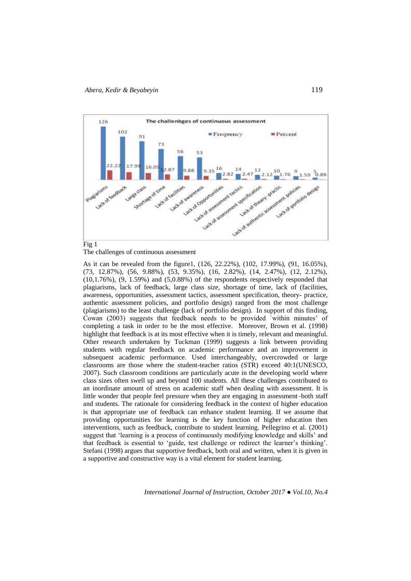

The challenges of continuous assessment

As it can be revealed from the figure1, (126, 22.22%), (102, 17.99%), (91, 16.05%), (73, 12.87%), (56, 9.88%), (53, 9.35%), (16, 2.82%), (14, 2.47%), (12, 2.12%), (10,1.76%), (9, 1.59%) and (5,0.88%) of the respondents respectively responded that plagiarisms, lack of feedback, large class size, shortage of time, lack of (facilities, awareness, opportunities, assessment tactics, assessment specification, theory- practice, authentic assessment policies, and portfolio design) ranged from the most challenge (plagiarisms) to the least challenge (lack of portfolio design). In support of this finding, Cowan (2003) suggests that feedback needs to be provided `within minutes' of completing a task in order to be the most effective. Moreover, Brown et al. (1998) highlight that feedback is at its most effective when it is timely, relevant and meaningful. Other research undertaken by Tuckman (1999) suggests a link between providing students with regular feedback on academic performance and an improvement in subsequent academic performance. Used interchangeably, overcrowded or large classrooms are those where the student-teacher ratios (STR) exceed 40:1(UNESCO, 2007). Such classroom conditions are particularly acute in the developing world where class sizes often swell up and beyond 100 students. All these challenges contributed to an inordinate amount of stress on academic staff when dealing with assessment. It is little wonder that people feel pressure when they are engaging in assessment–both staff and students. The rationale for considering feedback in the context of higher education is that appropriate use of feedback can enhance student learning. If we assume that providing opportunities for learning is the key function of higher education then interventions, such as feedback, contribute to student learning. Pellegrino et al. (2001) suggest that 'learning is a process of continuously modifying knowledge and skills' and that feedback is essential to 'guide, test challenge or redirect the learner's thinking'. Stefani (1998) argues that supportive feedback, both oral and written, when it is given in a supportive and constructive way is a vital element for student learning.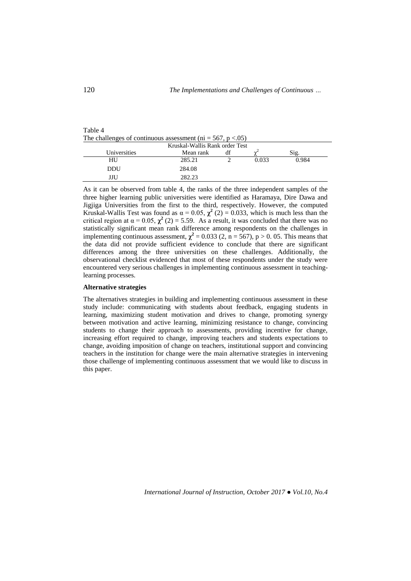| Table 4                                                            |  |
|--------------------------------------------------------------------|--|
| The challenges of continuous assessment ( $ni = 567$ , $p < .05$ ) |  |

| Kruskal-Wallis Rank order Test |           |  |       |       |  |  |  |
|--------------------------------|-----------|--|-------|-------|--|--|--|
| Universities                   | Mean rank |  |       | Sig.  |  |  |  |
| НU                             | 285.21    |  | 0.033 | 0.984 |  |  |  |
| DDU                            | 284.08    |  |       |       |  |  |  |
|                                | 282.23    |  |       |       |  |  |  |

As it can be observed from table 4, the ranks of the three independent samples of the three higher learning public universities were identified as Haramaya, Dire Dawa and Jigjiga Universities from the first to the third, respectively. However, the computed Kruskal-Wallis Test was found as  $\alpha = 0.05$ ,  $\chi^2$  (2) = 0.033, which is much less than the critical region at  $\alpha = 0.05$ ,  $\chi^2$  (2) = 5.59. As a result, it was concluded that there was no statistically significant mean rank difference among respondents on the challenges in implementing continuous assessment,  $\chi^2 = 0.033$  (2, n = 567), p > 0.05. This means that the data did not provide sufficient evidence to conclude that there are significant differences among the three universities on these challenges. Additionally, the observational checklist evidenced that most of these respondents under the study were encountered very serious challenges in implementing continuous assessment in teachinglearning processes.

## **Alternative strategies**

The alternatives strategies in building and implementing continuous assessment in these study include: communicating with students about feedback, engaging students in learning, maximizing student motivation and drives to change, promoting synergy between motivation and active learning, minimizing resistance to change, convincing students to change their approach to assessments, providing incentive for change, increasing effort required to change, improving teachers and students expectations to change, avoiding imposition of change on teachers, institutional support and convincing teachers in the institution for change were the main alternative strategies in intervening those challenge of implementing continuous assessment that we would like to discuss in this paper.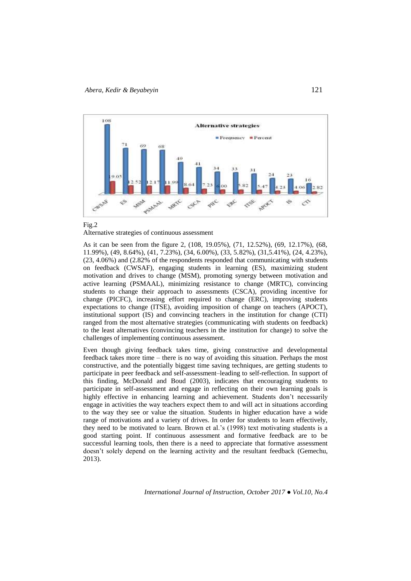

## Fig.2 Alternative strategies of continuous assessment

As it can be seen from the figure 2, (108, 19.05%), (71, 12.52%), (69, 12.17%), (68, 11.99%), (49, 8.64%), (41, 7.23%), (34, 6.00%), (33, 5.82%), (31,5.41%), (24, 4.23%), (23, 4.06%) and (2.82% of the respondents responded that communicating with students on feedback (CWSAF), engaging students in learning (ES), maximizing student motivation and drives to change (MSM), promoting synergy between motivation and active learning (PSMAAL), minimizing resistance to change (MRTC), convincing students to change their approach to assessments (CSCA), providing incentive for change (PICFC), increasing effort required to change (ERC), improving students expectations to change (ITSE), avoiding imposition of change on teachers (APOCT), institutional support (IS) and convincing teachers in the institution for change (CTI) ranged from the most alternative strategies (communicating with students on feedback) to the least alternatives (convincing teachers in the institution for change) to solve the challenges of implementing continuous assessment.

Even though giving feedback takes time, giving constructive and developmental feedback takes more time – there is no way of avoiding this situation. Perhaps the most constructive, and the potentially biggest time saving techniques, are getting students to participate in peer feedback and self-assessment–leading to self-reflection. In support of this finding, McDonald and Boud (2003), indicates that encouraging students to participate in self-assessment and engage in reflecting on their own learning goals is highly effective in enhancing learning and achievement. Students don't necessarily engage in activities the way teachers expect them to and will act in situations according to the way they see or value the situation. Students in higher education have a wide range of motivations and a variety of drives. In order for students to learn effectively, they need to be motivated to learn. Brown et al.'s (1998) text motivating students is a good starting point. If continuous assessment and formative feedback are to be successful learning tools, then there is a need to appreciate that formative assessment doesn't solely depend on the learning activity and the resultant feedback (Gemechu, 2013).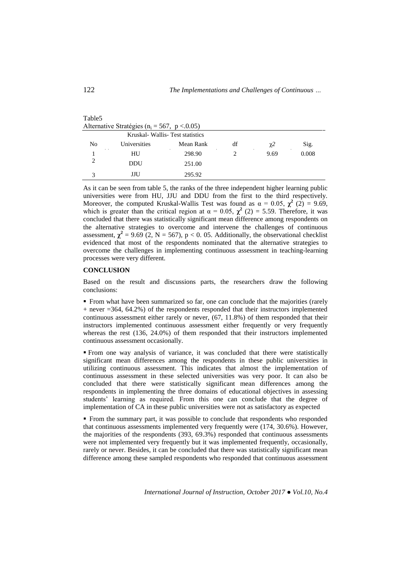| Table <sub>5</sub> |                                                     |                                |    |          |       |
|--------------------|-----------------------------------------------------|--------------------------------|----|----------|-------|
|                    | Alternative Stratégies ( $n_i = 567$ , $p < 0.05$ ) |                                |    |          |       |
|                    |                                                     | Kruskal-Wallis-Test statistics |    |          |       |
| No                 | Universities                                        | Mean Rank                      | df | $\chi$ 2 | Sig.  |
|                    | HU                                                  | 298.90                         |    | 9.69     | 0.008 |
| 2                  | DDU                                                 | 251.00                         |    |          |       |
|                    | JJU                                                 | 295.92                         |    |          |       |

As it can be seen from table 5, the ranks of the three independent higher learning public universities were from HU, JJU and DDU from the first to the third respectively. Moreover, the computed Kruskal-Wallis Test was found as  $\alpha = 0.05$ ,  $\chi^2$  (2) = 9.69, which is greater than the critical region at  $\alpha = 0.05$ ,  $\chi^2$  (2) = 5.59. Therefore, it was concluded that there was statistically significant mean difference among respondents on the alternative strategies to overcome and intervene the challenges of continuous assessment,  $\chi^2 = 9.69$  (2, N = 567), p < 0.05. Additionally, the observational checklist evidenced that most of the respondents nominated that the alternative strategies to overcome the challenges in implementing continuous assessment in teaching-learning processes were very different.

# **CONCLUSION**

Based on the result and discussions parts, the researchers draw the following conclusions:

 From what have been summarized so far, one can conclude that the majorities (rarely + never =364, 64.2%) of the respondents responded that their instructors implemented continuous assessment either rarely or never, (67, 11.8%) of them responded that their instructors implemented continuous assessment either frequently or very frequently whereas the rest (136, 24.0%) of them responded that their instructors implemented continuous assessment occasionally.

 From one way analysis of variance, it was concluded that there were statistically significant mean differences among the respondents in these public universities in utilizing continuous assessment. This indicates that almost the implementation of continuous assessment in these selected universities was very poor. It can also be concluded that there were statistically significant mean differences among the respondents in implementing the three domains of educational objectives in assessing students' learning as required. From this one can conclude that the degree of implementation of CA in these public universities were not as satisfactory as expected

 From the summary part, it was possible to conclude that respondents who responded that continuous assessments implemented very frequently were (174, 30.6%). However, the majorities of the respondents (393, 69.3%) responded that continuous assessments were not implemented very frequently but it was implemented frequently, occasionally, rarely or never. Besides, it can be concluded that there was statistically significant mean difference among these sampled respondents who responded that continuous assessment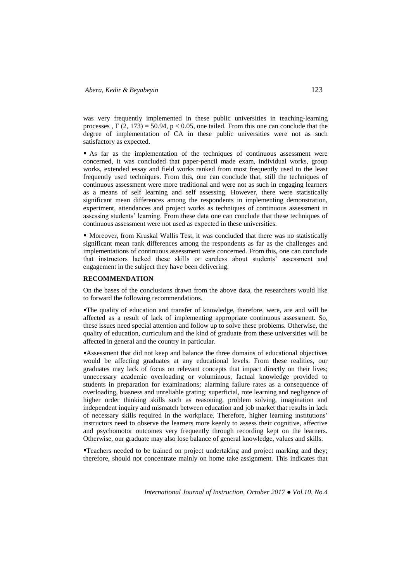was very frequently implemented in these public universities in teaching-learning processes,  $F(2, 173) = 50.94$ ,  $p < 0.05$ , one tailed. From this one can conclude that the degree of implementation of CA in these public universities were not as such satisfactory as expected.

 As far as the implementation of the techniques of continuous assessment were concerned, it was concluded that paper-pencil made exam, individual works, group works, extended essay and field works ranked from most frequently used to the least frequently used techniques. From this, one can conclude that, still the techniques of continuous assessment were more traditional and were not as such in engaging learners as a means of self learning and self assessing. However, there were statistically significant mean differences among the respondents in implementing demonstration, experiment, attendances and project works as techniques of continuous assessment in assessing students' learning. From these data one can conclude that these techniques of continuous assessment were not used as expected in these universities.

 Moreover, from Kruskal Wallis Test, it was concluded that there was no statistically significant mean rank differences among the respondents as far as the challenges and implementations of continuous assessment were concerned. From this, one can conclude that instructors lacked these skills or careless about students' assessment and engagement in the subject they have been delivering.

#### **RECOMMENDATION**

On the bases of the conclusions drawn from the above data, the researchers would like to forward the following recommendations.

The quality of education and transfer of knowledge, therefore, were, are and will be affected as a result of lack of implementing appropriate continuous assessment. So, these issues need special attention and follow up to solve these problems. Otherwise, the quality of education, curriculum and the kind of graduate from these universities will be affected in general and the country in particular.

Assessment that did not keep and balance the three domains of educational objectives would be affecting graduates at any educational levels. From these realities, our graduates may lack of focus on relevant concepts that impact directly on their lives; unnecessary academic overloading or voluminous, factual knowledge provided to students in preparation for examinations*;* alarming failure rates as a consequence of overloading, biasness and unreliable grating; superficial, rote learning and negligence of higher order thinking skills such as reasoning, problem solving, imagination and independent inquiry and mismatch between education and job market that results in lack of necessary skills required in the workplace. Therefore, higher learning institutions' instructors need to observe the learners more keenly to assess their cognitive, affective and psychomotor outcomes very frequently through recording kept on the learners. Otherwise, our graduate may also lose balance of general knowledge, values and skills.

Teachers needed to be trained on project undertaking and project marking and they; therefore, should not concentrate mainly on home take assignment. This indicates that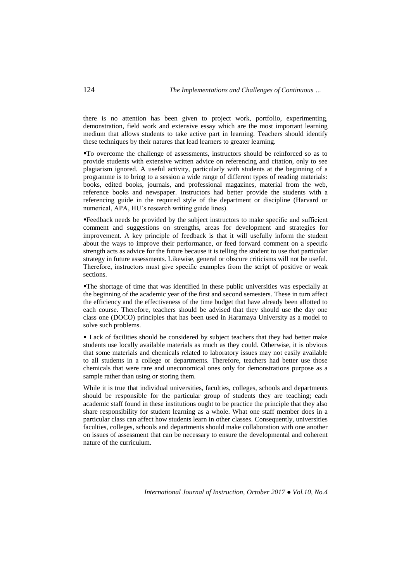there is no attention has been given to project work, portfolio, experimenting, demonstration, field work and extensive essay which are the most important learning medium that allows students to take active part in learning. Teachers should identify these techniques by their natures that lead learners to greater learning.

To overcome the challenge of assessments, instructors should be reinforced so as to provide students with extensive written advice on referencing and citation, only to see plagiarism ignored. A useful activity, particularly with students at the beginning of a programme is to bring to a session a wide range of different types of reading materials: books, edited books, journals, and professional magazines, material from the web, reference books and newspaper. Instructors had better provide the students with a referencing guide in the required style of the department or discipline (Harvard or numerical, APA, HU's research writing guide lines).

Feedback needs be provided by the subject instructors to make specific and sufficient comment and suggestions on strengths, areas for development and strategies for improvement. A key principle of feedback is that it will usefully inform the student about the ways to improve their performance, or feed forward comment on a specific strength acts as advice for the future because it is telling the student to use that particular strategy in future assessments. Likewise, general or obscure criticisms will not be useful. Therefore, instructors must give specific examples from the script of positive or weak sections.

The shortage of time that was identified in these public universities was especially at the beginning of the academic year of the first and second semesters. These in turn affect the efficiency and the effectiveness of the time budget that have already been allotted to each course. Therefore, teachers should be advised that they should use the day one class one (DOCO) principles that has been used in Haramaya University as a model to solve such problems.

 Lack of facilities should be considered by subject teachers that they had better make students use locally available materials as much as they could. Otherwise, it is obvious that some materials and chemicals related to laboratory issues may not easily available to all students in a college or departments. Therefore, teachers had better use those chemicals that were rare and uneconomical ones only for demonstrations purpose as a sample rather than using or storing them.

While it is true that individual universities, faculties, colleges, schools and departments should be responsible for the particular group of students they are teaching; each academic staff found in these institutions ought to be practice the principle that they also share responsibility for student learning as a whole. What one staff member does in a particular class can affect how students learn in other classes. Consequently, universities faculties, colleges, schools and departments should make collaboration with one another on issues of assessment that can be necessary to ensure the developmental and coherent nature of the curriculum.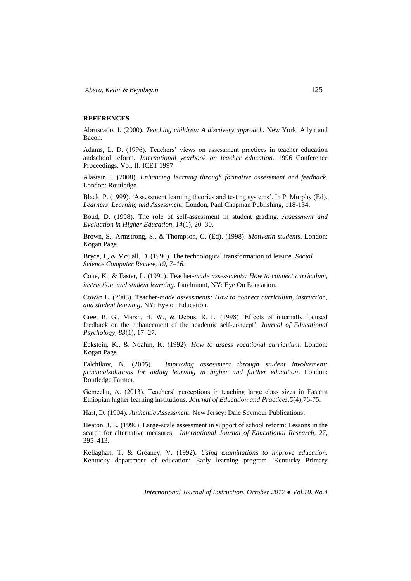*Abera, Kedir & Beyabeyin* 125

## **REFERENCES**

Abruscado, J. (2000). *Teaching children: A discovery approach.* New York: Allyn and Bacon.

Adams**,** L. D. (1996). Teachers' views on assessment practices in teacher education andschool reform*: International yearbook on teacher education.* 1996 Conference Proceedings. Vol. II. ICET 1997.

Alastair, I. (2008). *Enhancing learning through formative assessment and feedback*. London: Routledge.

Black, P. (1999). 'Assessment learning theories and testing systems'. In P. Murphy (Ed). *Learners, Learning and Assessment,* London, Paul Chapman Publishing, 118-134.

Boud, D. (1998). The role of self-assessment in student grading. *Assessment and Evaluation in Higher Education, 14*(1), 20–30.

Brown, S., Armstrong, S., & Thompson, G. (Ed). (1998)*. Motivatin students*. London: Kogan Page.

Bryce, J., & McCall, D. (1990). The technological transformation of leisure. *Social Science Computer Review, 19, 7–16.*

Cone, K., & Faster, L. (1991). Teacher*-made assessments: How to connect curriculum, instruction, and student learning*. Larchmont, NY: Eye On Education.

Cowan L. (2003). Teacher*-made assessments: How to connect curriculum, instruction, and student learning*. NY: Eye on Education.

Cree, R. G., Marsh, H. W., & Debus, R. L. (1998) 'Effects of internally focused feedback on the enhancement of the academic self-concept'. *Journal of Educational Psychology, 83*(1), 17–27.

Eckstein, K., & Noahm, K. (1992). *How to assess vocational curriculum*. London: Kogan Page.

Falchikov, N. (2005). *Improving assessment through student involvement: practicalsolutions for aiding learning in higher and further education*. London: Routledge Farmer.

Gemechu, A. (2013). Teachers' perceptions in teaching large class sizes in Eastern Ethiopian higher learning institutions, *Journal of Education and Practices.5*(4),76-75.

Hart, D. (1994). *Authentic Assessment*. New Jersey: Dale Seymour Publications.

Heaton, J. L. (1990). Large-scale assessment in support of school reform: Lessons in the search for alternative measures. *International Journal of Educational Research, 27,* 395–413.

Kellaghan, T. & Greaney, V. (1992). *Using examinations to improve education.*  Kentucky department of education: Early learning program. Kentucky Primary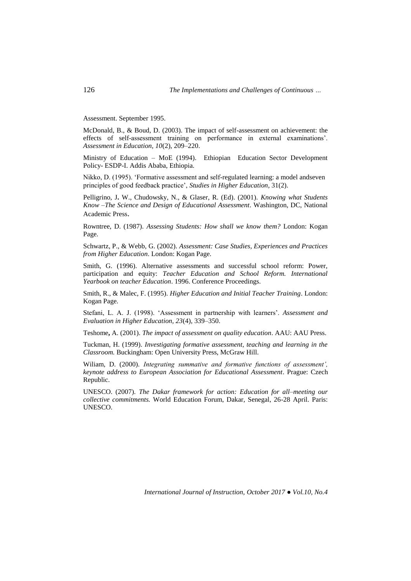Assessment. September 1995.

McDonald, B., & Boud, D. (2003). The impact of self-assessment on achievement: the effects of self-assessment training on performance in external examinations'. *Assessment in Education, 10*(2), 209–220.

Ministry of Education – MoE (1994). Ethiopian Education Sector Development Policy- ESDP-I. Addis Ababa, Ethiopia.

Nikko, D. (1995). 'Formative assessment and self-regulated learning: a model andseven principles of good feedback practice', *Studies in Higher Education*, 31(2).

Pelligrino, J**.** W., Chudowsky, N., & Glaser, R. (Ed). (2001). *Knowing what Students Know –The Science and Design of Educational Assessment*. Washington, DC, National Academic Press.

Rowntree, D. (1987). *Assessing Students: How shall we know them?* London: Kogan Page.

Schwartz, P., & Webb, G. (2002). *Assessment: Case Studies, Experiences and Practices from Higher Education*. London: Kogan Page.

Smith, G. (1996). Alternative assessments and successful school reform: Power, participation and equity: *Teacher Education and School Reform. International Yearbook on teacher Education*. 1996. Conference Proceedings.

Smith, R., & Malec, F. (1995). *Higher Education and Initial Teacher Training*. London: Kogan Page.

Stefani, L. A. J. (1998). 'Assessment in partnership with learners'. *Assessment and Evaluation in Higher Education, 23*(4), 339–350.

Teshome**,** A. (2001). *The impact of assessment on quality education*. AAU: AAU Press.

Tuckman, H. (1999). *Investigating formative assessment, teaching and learning in the Classroom.* Buckingham: Open University Press, McGraw Hill.

Wiliam, D. (2000). *Integrating summative and formative functions of assessment', keynote address to European Association for Educational Assessment*. Prague: Czech Republic.

UNESCO. (2007). *The Dakar framework for action: Education for all–meeting our collective commitments.* World Education Forum, Dakar, Senegal, 26-28 April. Paris: UNESCO.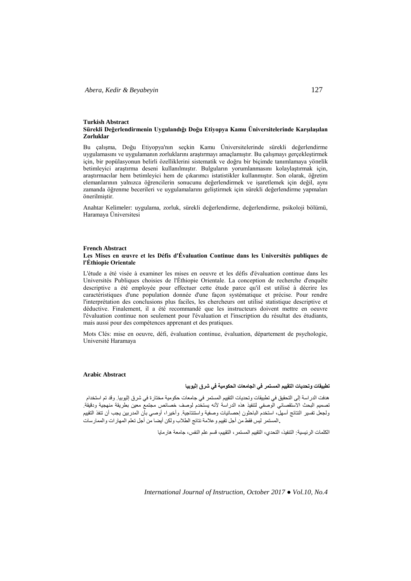#### **Turkish Abstract Sürekli Değerlendirmenin Uygulandığı Doğu Etiyopya Kamu Üniversitelerinde Karşılaşılan Zorluklar**

Bu çalışma, Doğu Etiyopya'nın seçkin Kamu Üniversitelerinde sürekli değerlendirme uygulamasını ve uygulamanın zorluklarını araştırmayı amaçlamıştır. Bu çalışmayı gerçekleştirmek için, bir popülasyonun belirli özelliklerini sistematik ve doğru bir biçimde tanımlamaya yönelik betimleyici araştırma deseni kullanılmıştır. Bulguların yorumlanmasını kolaylaştırmak için, araştırmacılar hem betimleyici hem de çıkarımcı istatistikler kullanmıştır. Son olarak, öğretim elemanlarının yalnızca öğrencilerin sonucunu değerlendirmek ve işaretlemek için değil, aynı zamanda öğrenme becerileri ve uygulamalarını geliştirmek için sürekli değerlendirme yapmaları önerilmiştir.

Anahtar Kelimeler: uygulama, zorluk, sürekli değerlendirme, değerlendirme, psikoloji bölümü, Haramaya Üniversitesi

#### **French Abstract Les Mises en œuvre et les Défis d'Évaluation Continue dans les Universités publiques de l'Éthiopie Orientale**

L'étude a été visée à examiner les mises en oeuvre et les défis d'évaluation continue dans les Universités Publiques choisies de l'Éthiopie Orientale. La conception de recherche d'enquête descriptive a été employée pour effectuer cette étude parce qu'il est utilisé à décrire les caractéristiques d'une population donnée d'une façon systématique et précise. Pour rendre l'interprétation des conclusions plus faciles, les chercheurs ont utilisé statistique descriptive et déductive. Finalement, il a été recommandé que les instructeurs doivent mettre en oeuvre l'évaluation continue non seulement pour l'évaluation et l'inscription du résultat des étudiants, mais aussi pour des compétences apprenant et des pratiques.

Mots Clés: mise en oeuvre, défi, évaluation continue, évaluation, département de psychologie, Université Haramaya

# **Arabic Abstract**

## **تطبيقات وتحديات التقييم المستمر في الجامعات الحكومية في شرق إثيوبيا**

هدفت الدراسة إلى التحقيق في تطبيقات وتحديات التقييم المستمر في جامعات حكومية مختارة في شرق إثيوبيا. وقد تم استخدام تصميم البحث االستقصائي الوصفي لتنفيذ هذه الدراسة ألنه يستخدم لوصف خصائص مجتمع معين بطريقة منهجية ودقيقة. ولجعل تفسير النتائج أسهل، استخدم الباحثون إحصائيات وصفية واستنتاجية. وأخيرا، أوصي بأن المدربين يجب أن تنفذ التقييم **.**المستمر ليس فقط من أجل تقييم وعالمة نتائج الطالب ولكن أيضا من أجل تعلم المهارات والممارسات

الكلمات الرئيسية: التنفيذ، التحدي، التقييم المستمر، التقييم، قسم علم النفس، جامعة هارمايا